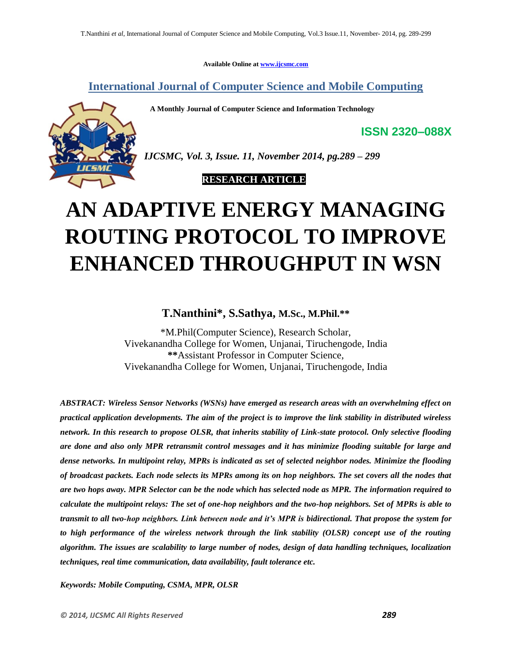**Available Online at www.ijcsmc.com**

**International Journal of Computer Science and Mobile Computing**

 **A Monthly Journal of Computer Science and Information Technology**



*IJCSMC, Vol. 3, Issue. 11, November 2014, pg.289 – 299*

 **RESEARCH ARTICLE**

# **AN ADAPTIVE ENERGY MANAGING ROUTING PROTOCOL TO IMPROVE ENHANCED THROUGHPUT IN WSN**

# **T.Nanthini\* , S.Sathya, M.Sc., M.Phil.\*\***

\*M.Phil(Computer Science), Research Scholar, Vivekanandha College for Women, Unjanai, Tiruchengode, India **\*\***Assistant Professor in Computer Science, Vivekanandha College for Women, Unjanai, Tiruchengode, India

*ABSTRACT: Wireless Sensor Networks (WSNs) have emerged as research areas with an overwhelming effect on practical application developments. The aim of the project is to improve the link stability in distributed wireless network. In this research to propose OLSR, that inherits stability of Link-state protocol. Only selective flooding are done and also only MPR retransmit control messages and it has minimize flooding suitable for large and dense networks. In multipoint relay, MPRs is indicated as set of selected neighbor nodes. Minimize the flooding of broadcast packets. Each node selects its MPRs among its on hop neighbors. The set covers all the nodes that are two hops away. MPR Selector can be the node which has selected node as MPR. The information required to calculate the multipoint relays: The set of one-hop neighbors and the two-hop neighbors. Set of MPRs is able to transmit to all two-hop neighbors. Link between node and it's MPR is bidirectional. That propose the system for to high performance of the wireless network through the link stability (OLSR) concept use of the routing algorithm. The issues are scalability to large number of nodes, design of data handling techniques, localization techniques, real time communication, data availability, fault tolerance etc.*

*Keywords: Mobile Computing, CSMA, MPR, OLSR*

**ISSN 2320–088X**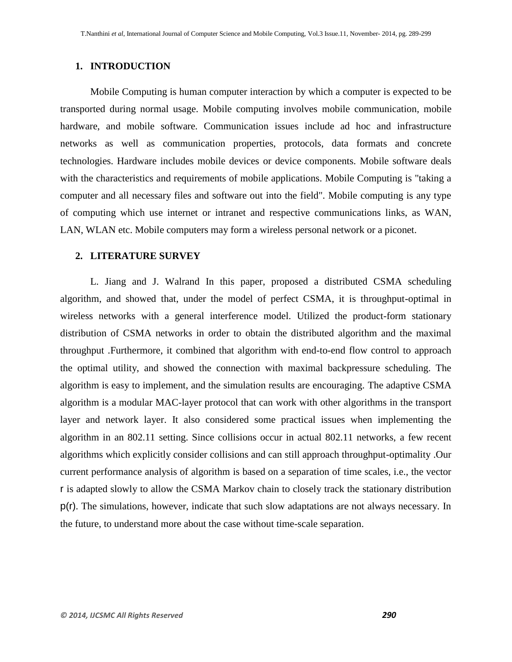## **1. INTRODUCTION**

Mobile Computing is human computer interaction by which a computer is expected to be transported during normal usage. Mobile computing involves mobile communication, mobile hardware, and mobile software. Communication issues include ad hoc and infrastructure networks as well as communication properties, protocols, data formats and concrete technologies. Hardware includes mobile devices or device components. Mobile software deals with the characteristics and requirements of mobile applications. Mobile Computing is "taking a computer and all necessary files and software out into the field". Mobile computing is any type of computing which use internet or intranet and respective communications links, as WAN, LAN, WLAN etc. Mobile computers may form a wireless personal network or a piconet.

#### **2. LITERATURE SURVEY**

L. Jiang and J. Walrand In this paper, proposed a distributed CSMA scheduling algorithm, and showed that, under the model of perfect CSMA, it is throughput-optimal in wireless networks with a general interference model. Utilized the product-form stationary distribution of CSMA networks in order to obtain the distributed algorithm and the maximal throughput .Furthermore, it combined that algorithm with end-to-end flow control to approach the optimal utility, and showed the connection with maximal backpressure scheduling. The algorithm is easy to implement, and the simulation results are encouraging. The adaptive CSMA algorithm is a modular MAC-layer protocol that can work with other algorithms in the transport layer and network layer. It also considered some practical issues when implementing the algorithm in an 802.11 setting. Since collisions occur in actual 802.11 networks, a few recent algorithms which explicitly consider collisions and can still approach throughput-optimality .Our current performance analysis of algorithm is based on a separation of time scales, i.e., the vector r is adapted slowly to allow the CSMA Markov chain to closely track the stationary distribution p(r). The simulations, however, indicate that such slow adaptations are not always necessary. In the future, to understand more about the case without time-scale separation.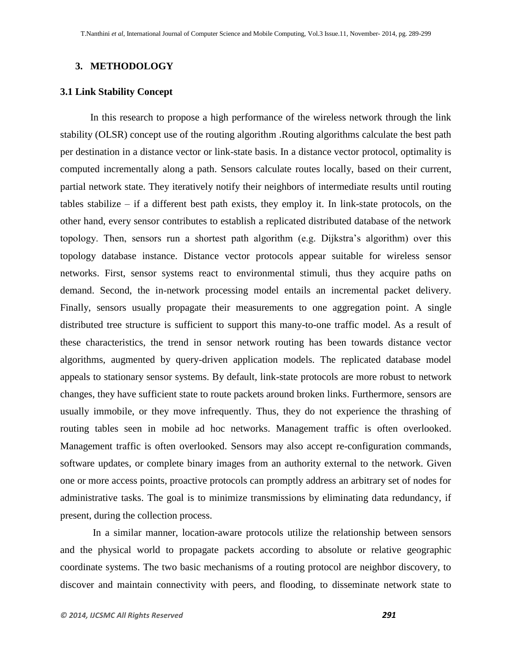### **3. METHODOLOGY**

### **3.1 Link Stability Concept**

In this research to propose a high performance of the wireless network through the link stability (OLSR) concept use of the routing algorithm .Routing algorithms calculate the best path per destination in a distance vector or link-state basis. In a distance vector protocol, optimality is computed incrementally along a path. Sensors calculate routes locally, based on their current, partial network state. They iteratively notify their neighbors of intermediate results until routing tables stabilize – if a different best path exists, they employ it. In link-state protocols, on the other hand, every sensor contributes to establish a replicated distributed database of the network topology. Then, sensors run a shortest path algorithm (e.g. Dijkstra's algorithm) over this topology database instance. Distance vector protocols appear suitable for wireless sensor networks. First, sensor systems react to environmental stimuli, thus they acquire paths on demand. Second, the in-network processing model entails an incremental packet delivery. Finally, sensors usually propagate their measurements to one aggregation point. A single distributed tree structure is sufficient to support this many-to-one traffic model. As a result of these characteristics, the trend in sensor network routing has been towards distance vector algorithms, augmented by query-driven application models. The replicated database model appeals to stationary sensor systems. By default, link-state protocols are more robust to network changes, they have sufficient state to route packets around broken links. Furthermore, sensors are usually immobile, or they move infrequently. Thus, they do not experience the thrashing of routing tables seen in mobile ad hoc networks. Management traffic is often overlooked. Management traffic is often overlooked. Sensors may also accept re-configuration commands, software updates, or complete binary images from an authority external to the network. Given one or more access points, proactive protocols can promptly address an arbitrary set of nodes for administrative tasks. The goal is to minimize transmissions by eliminating data redundancy, if present, during the collection process.

In a similar manner, location-aware protocols utilize the relationship between sensors and the physical world to propagate packets according to absolute or relative geographic coordinate systems. The two basic mechanisms of a routing protocol are neighbor discovery, to discover and maintain connectivity with peers, and flooding, to disseminate network state to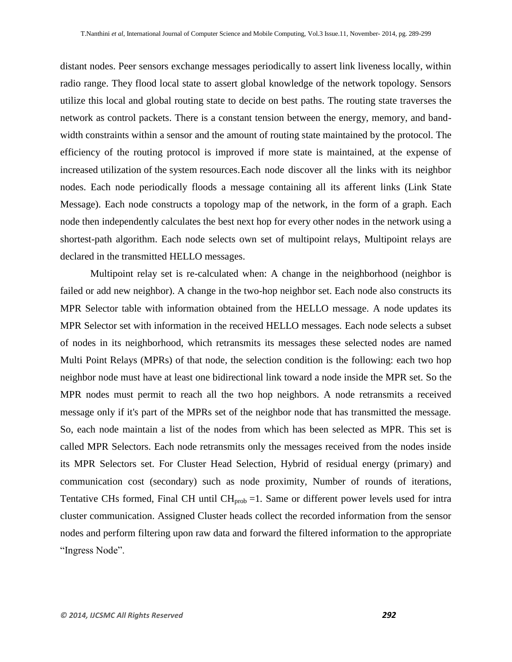distant nodes. Peer sensors exchange messages periodically to assert link liveness locally, within radio range. They flood local state to assert global knowledge of the network topology. Sensors utilize this local and global routing state to decide on best paths. The routing state traverses the network as control packets. There is a constant tension between the energy, memory, and bandwidth constraints within a sensor and the amount of routing state maintained by the protocol. The efficiency of the routing protocol is improved if more state is maintained, at the expense of increased utilization of the system resources.Each node discover all the links with its neighbor nodes. Each node periodically floods a message containing all its afferent links (Link State Message). Each node constructs a topology map of the network, in the form of a graph. Each node then independently calculates the best next hop for every other nodes in the network using a shortest-path algorithm. Each node selects own set of multipoint relays, Multipoint relays are declared in the transmitted HELLO messages.

Multipoint relay set is re-calculated when: A change in the neighborhood (neighbor is failed or add new neighbor). A change in the two-hop neighbor set. Each node also constructs its MPR Selector table with information obtained from the HELLO message. A node updates its MPR Selector set with information in the received HELLO messages. Each node selects a subset of nodes in its neighborhood, which retransmits its messages these selected nodes are named Multi Point Relays (MPRs) of that node, the selection condition is the following: each two hop neighbor node must have at least one bidirectional link toward a node inside the MPR set. So the MPR nodes must permit to reach all the two hop neighbors. A node retransmits a received message only if it's part of the MPRs set of the neighbor node that has transmitted the message. So, each node maintain a list of the nodes from which has been selected as MPR. This set is called MPR Selectors. Each node retransmits only the messages received from the nodes inside its MPR Selectors set. For Cluster Head Selection, Hybrid of residual energy (primary) and communication cost (secondary) such as node proximity, Number of rounds of iterations, Tentative CHs formed, Final CH until  $CH_{prob} = 1$ . Same or different power levels used for intra cluster communication. Assigned Cluster heads collect the recorded information from the sensor nodes and perform filtering upon raw data and forward the filtered information to the appropriate "Ingress Node".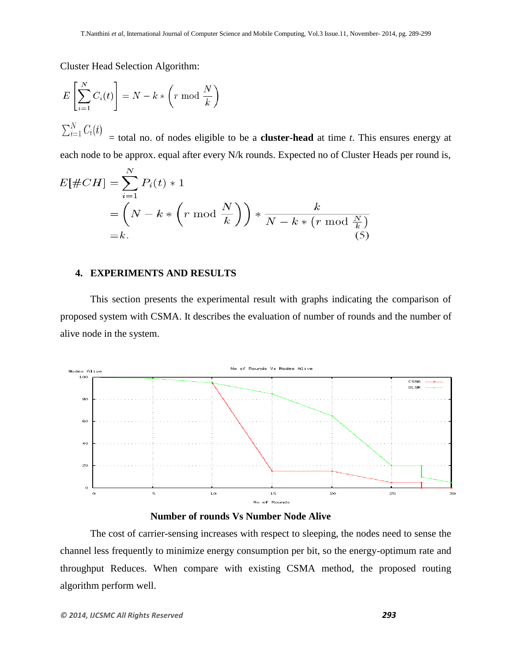Cluster Head Selection Algorithm:

$$
E\left[\sum_{i=1}^{N} C_i(t)\right] = N - k * \left(r \mod \frac{N}{k}\right)
$$

$$
\sum_{i=1}^{N} C_i(t)
$$

 $\angle l=1$ = total no. of nodes eligible to be a **cluster-head** at time *t*. This ensures energy at each node to be approx. equal after every N/k rounds. Expected no of Cluster Heads per round is,

$$
E[\#CH] = \sum_{i=1}^{N} P_i(t) * 1
$$
  
=  $\left(N - k * \left(r \mod \frac{N}{k}\right)\right) * \frac{k}{N - k * \left(r \mod \frac{N}{k}\right)}$   
=  $k$ . (5)

# **4. EXPERIMENTS AND RESULTS**

This section presents the experimental result with graphs indicating the comparison of proposed system with CSMA. It describes the evaluation of number of rounds and the number of alive node in the system.





The cost of carrier-sensing increases with respect to sleeping, the nodes need to sense the channel less frequently to minimize energy consumption per bit, so the energy-optimum rate and throughput Reduces. When compare with existing CSMA method, the proposed routing algorithm perform well.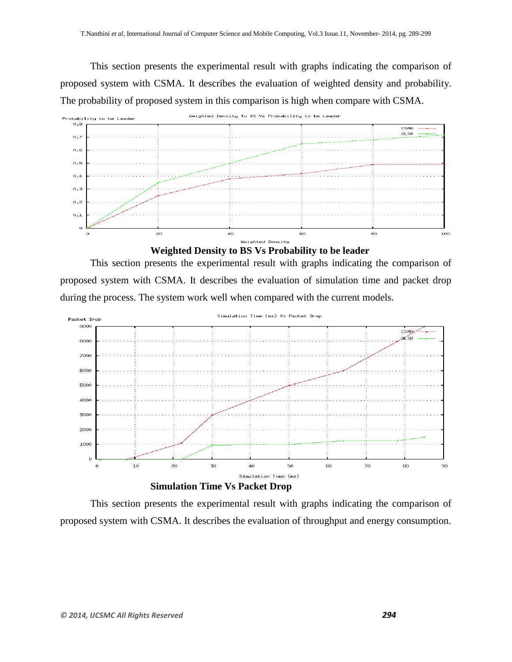This section presents the experimental result with graphs indicating the comparison of proposed system with CSMA. It describes the evaluation of weighted density and probability. The probability of proposed system in this comparison is high when compare with CSMA.





This section presents the experimental result with graphs indicating the comparison of proposed system with CSMA. It describes the evaluation of simulation time and packet drop during the process. The system work well when compared with the current models.



This section presents the experimental result with graphs indicating the comparison of proposed system with CSMA. It describes the evaluation of throughput and energy consumption.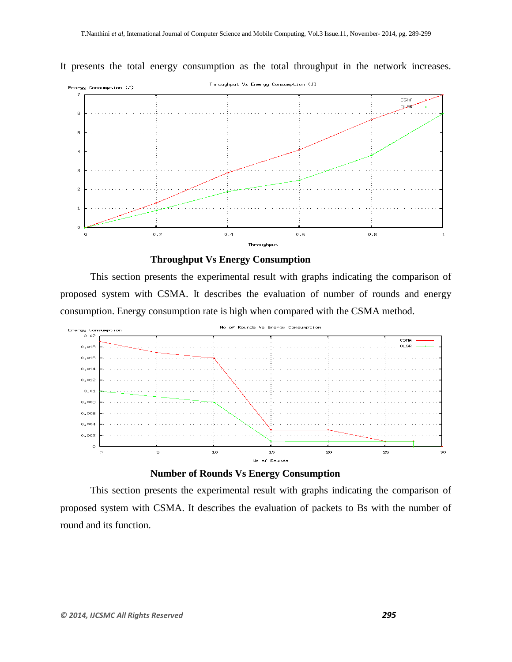It presents the total energy consumption as the total throughput in the network increases.





This section presents the experimental result with graphs indicating the comparison of proposed system with CSMA. It describes the evaluation of number of rounds and energy consumption. Energy consumption rate is high when compared with the CSMA method.





This section presents the experimental result with graphs indicating the comparison of proposed system with CSMA. It describes the evaluation of packets to Bs with the number of round and its function.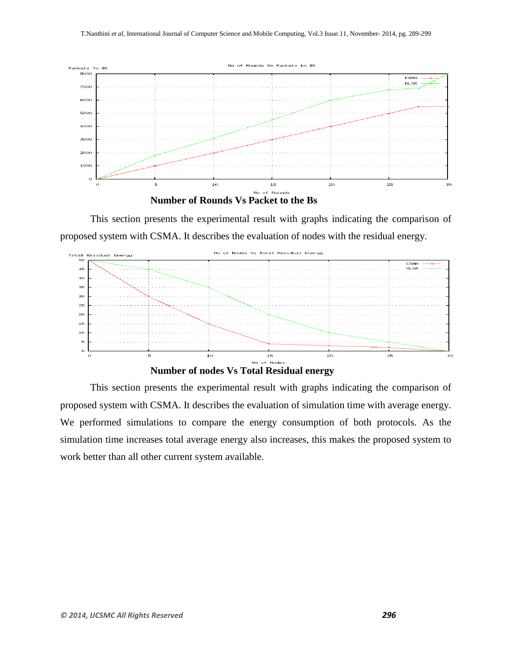



This section presents the experimental result with graphs indicating the comparison of proposed system with CSMA. It describes the evaluation of nodes with the residual energy.



This section presents the experimental result with graphs indicating the comparison of proposed system with CSMA. It describes the evaluation of simulation time with average energy. We performed simulations to compare the energy consumption of both protocols. As the simulation time increases total average energy also increases, this makes the proposed system to work better than all other current system available.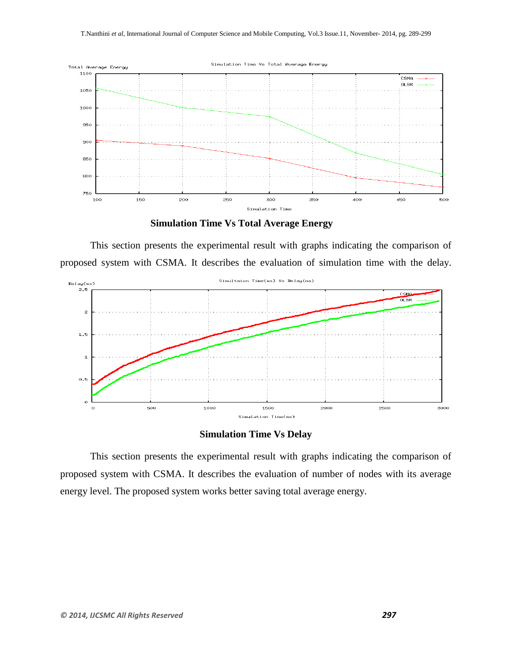

**Simulation Time Vs Total Average Energy**

This section presents the experimental result with graphs indicating the comparison of proposed system with CSMA. It describes the evaluation of simulation time with the delay.



**Simulation Time Vs Delay**

This section presents the experimental result with graphs indicating the comparison of proposed system with CSMA. It describes the evaluation of number of nodes with its average energy level. The proposed system works better saving total average energy.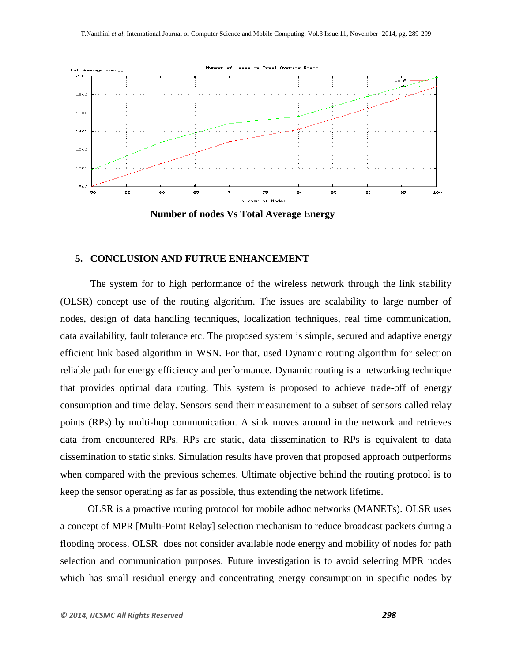

**Number of nodes Vs Total Average Energy**

#### **5. CONCLUSION AND FUTRUE ENHANCEMENT**

The system for to high performance of the wireless network through the link stability (OLSR) concept use of the routing algorithm. The issues are scalability to large number of nodes, design of data handling techniques, localization techniques, real time communication, data availability, fault tolerance etc. The proposed system is simple, secured and adaptive energy efficient link based algorithm in WSN. For that, used Dynamic routing algorithm for selection reliable path for energy efficiency and performance. Dynamic routing is a networking technique that provides optimal data routing. This system is proposed to achieve trade-off of energy consumption and time delay. Sensors send their measurement to a subset of sensors called relay points (RPs) by multi-hop communication. A sink moves around in the network and retrieves data from encountered RPs. RPs are static, data dissemination to RPs is equivalent to data dissemination to static sinks. Simulation results have proven that proposed approach outperforms when compared with the previous schemes. Ultimate objective behind the routing protocol is to keep the sensor operating as far as possible, thus extending the network lifetime.

 OLSR is a proactive routing protocol for mobile adhoc networks (MANETs). OLSR uses a concept of MPR [Multi-Point Relay] selection mechanism to reduce broadcast packets during a flooding process. OLSR does not consider available node energy and mobility of nodes for path selection and communication purposes. Future investigation is to avoid selecting MPR nodes which has small residual energy and concentrating energy consumption in specific nodes by